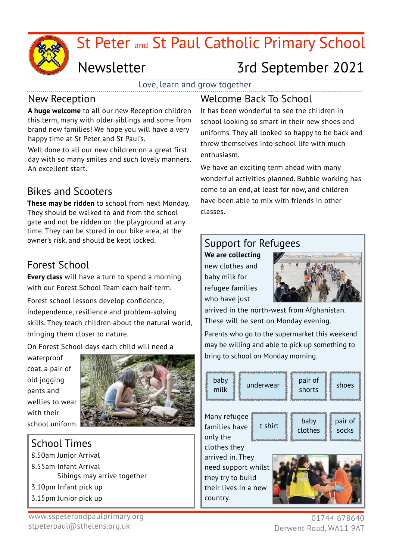

# Newsletter 3rd September 2021

Love, learn and grow together

#### New Reception

**A huge welcome** to all our new Reception children this term, many with older siblings and some from brand new families! We hope you will have a very happy time at St Peter and St Paul's.

Well done to all our new children on a great first day with so many smiles and such lovely manners. An excellent start.

## Bikes and Scooters

**These may be ridden** to school from next Monday. They should be walked to and from the school gate and not be ridden on the playground at any time. They can be stored in our bike area, at the owner's risk, and should be kept locked.

## Forest School

**Every class** will have a turn to spend a morning with our Forest School Team each half-term.

Forest school lessons develop confidence, independence, resilience and problem-solving skills. They teach children about the natural world, bringing them closer to nature.

On Forest School days each child will need a

waterproof coat, a pair of old jogging pants and wellies to wear with their



#### School Times

8.50am Junior Arrival 8.55am Infant Arrival Sibings may arrive together 3.10pm Infant pick up 3.15pm Junior pick up

#### Welcome Back To School

It has been wonderful to see the children in school looking so smart in their new shoes and uniforms. They all looked so happy to be back and threw themselves into school life with much enthusiasm.

We have an exciting term ahead with many wonderful activities planned. Bubble working has come to an end, at least for now, and children have been able to mix with friends in other classes.

#### Support for Refugees

**We are collecting** new clothes and baby milk for refugee families who have just



arrived in the north-west from Afghanistan. These will be sent on Monday evening.

Parents who go to the supermarket this weekend may be willing and able to pick up something to bring to school on Monday morning.